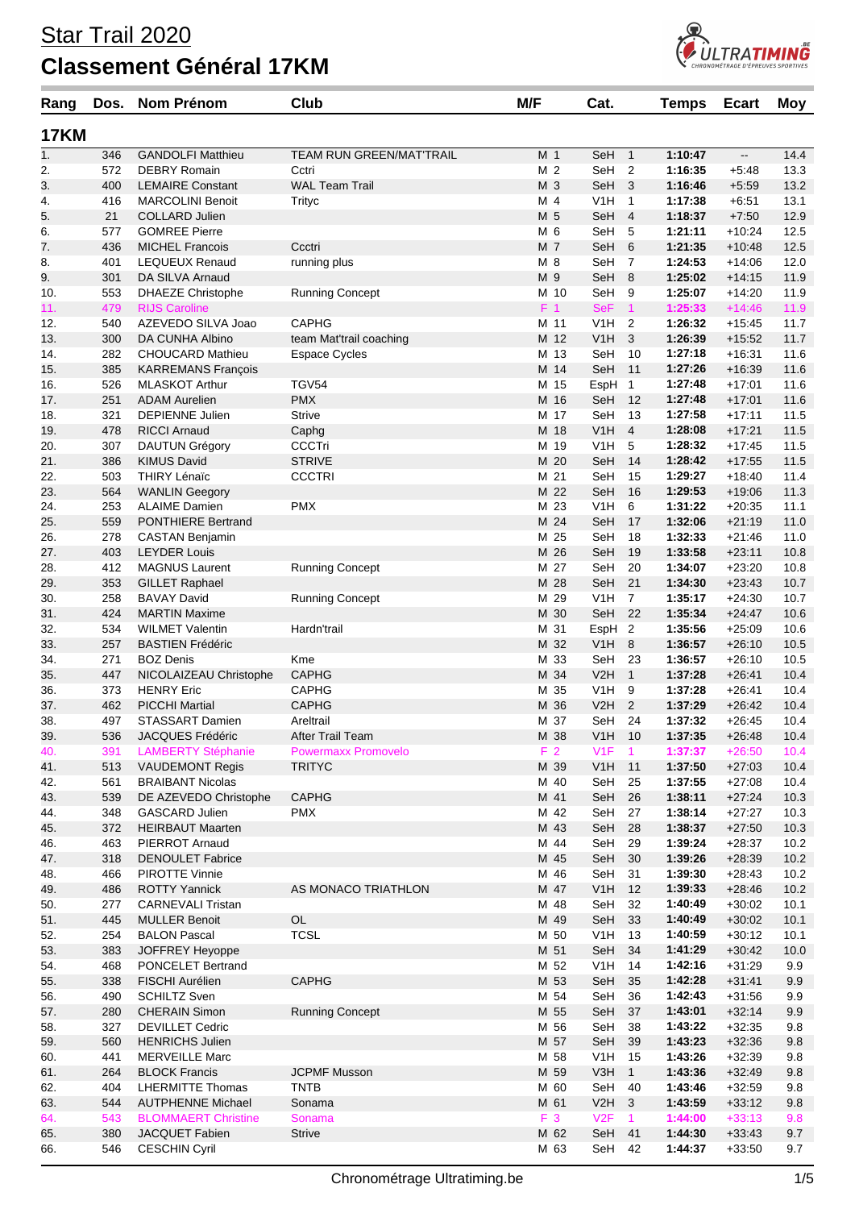

| Rang             | Dos.       | Nom Prénom                                 | Club                            | M/F            | Cat.              |                         | <b>Temps</b>       | <b>Ecart</b>             | Moy          |
|------------------|------------|--------------------------------------------|---------------------------------|----------------|-------------------|-------------------------|--------------------|--------------------------|--------------|
| <b>17KM</b>      |            |                                            |                                 |                |                   |                         |                    |                          |              |
| $\overline{1}$ . | 346        | <b>GANDOLFI Matthieu</b>                   | <b>TEAM RUN GREEN/MAT'TRAIL</b> | M <sub>1</sub> | SeH               | $\mathbf{1}$            | 1:10:47            | $\overline{\phantom{a}}$ | 14.4         |
| 2.               | 572        | <b>DEBRY Romain</b>                        | Cctri                           | M 2            | SeH               | $\overline{2}$          | 1:16:35            | $+5.48$                  | 13.3         |
| 3.               | 400        | <b>LEMAIRE Constant</b>                    | <b>WAL Team Trail</b>           | M 3            | SeH               | 3                       | 1:16:46            | $+5:59$                  | 13.2         |
| 4.               | 416        | <b>MARCOLINI Benoit</b>                    | Trityc                          | M 4            | V1H               | 1                       | 1:17:38            | $+6:51$                  | 13.1         |
| 5.               | 21         | <b>COLLARD Julien</b>                      |                                 | M 5            | SeH               | $\overline{4}$          | 1:18:37            | $+7:50$                  | 12.9         |
| 6.               | 577        | <b>GOMREE Pierre</b>                       |                                 | M 6            | SeH               | 5                       | 1:21:11            | $+10:24$                 | 12.5         |
| 7.               | 436        | <b>MICHEL Francois</b>                     | Ccctri                          | M 7            | SeH               | 6                       | 1:21:35            | $+10:48$                 | 12.5         |
| 8.               | 401        | <b>LEQUEUX Renaud</b>                      | running plus                    | M 8            | SeH               | $\overline{7}$          | 1:24:53            | $+14:06$                 | 12.0         |
| 9.               | 301        | DA SILVA Arnaud                            |                                 | M 9            | SeH               | 8                       | 1:25:02            | $+14:15$                 | 11.9         |
| 10.              | 553        | <b>DHAEZE Christophe</b>                   | <b>Running Concept</b>          | M 10           | SeH               | 9                       | 1:25:07            | $+14:20$                 | 11.9         |
| 11.              | 479        | <b>RIJS Caroline</b>                       |                                 | F <sub>1</sub> | <b>SeF</b>        | $\mathbf{1}$            | 1:25:33            | $+14:46$                 | 11.9         |
| 12.              | 540        | AZEVEDO SILVA Joao                         | <b>CAPHG</b>                    | M 11           | V1H               | $\overline{2}$          | 1:26:32            | $+15:45$                 | 11.7         |
| 13.              | 300        | DA CUNHA Albino                            | team Mat'trail coaching         | M 12           | V <sub>1</sub> H  | 3                       | 1:26:39            | $+15:52$                 | 11.7         |
| 14.              | 282        | <b>CHOUCARD Mathieu</b>                    | <b>Espace Cycles</b>            | M 13           | SeH               | 10                      | 1:27:18            | $+16.31$                 | 11.6         |
| 15.              | 385        | <b>KARREMANS François</b>                  |                                 | M 14           | SeH               | 11                      | 1:27:26            | $+16:39$                 | 11.6         |
| 16.              | 526        | <b>MLASKOT Arthur</b>                      | TGV54                           | M 15           | EspH              | $\mathbf{1}$            | 1:27:48            | $+17:01$                 | 11.6         |
| 17.              | 251        | <b>ADAM Aurelien</b>                       | <b>PMX</b>                      | M 16           | SeH               | 12                      | 1:27:48            | $+17:01$                 | 11.6         |
| 18.              | 321        | <b>DEPIENNE Julien</b>                     | <b>Strive</b>                   | M 17           | SeH               | 13                      | 1:27:58            | $+17:11$                 | 11.5         |
| 19.              | 478        | <b>RICCI Arnaud</b>                        | Caphg                           | M 18           | V <sub>1</sub> H  | $\overline{4}$          | 1:28:08            | $+17.21$                 | 11.5         |
| 20.              | 307        | DAUTUN Grégory                             | <b>CCCTri</b>                   | M 19           | V1H               | 5                       | 1:28:32            | $+17:45$                 | 11.5         |
| 21.              | 386        | <b>KIMUS David</b>                         | <b>STRIVE</b>                   | M 20           | SeH               | 14                      | 1:28:42            | $+17:55$                 | 11.5         |
| 22.              | 503        | <b>THIRY Lénaïc</b>                        | <b>CCCTRI</b>                   | M 21           | SeH               | 15                      | 1:29:27            | $+18:40$                 | 11.4         |
| 23.              | 564        | <b>WANLIN Geegory</b>                      |                                 | M 22           | SeH               | 16                      | 1:29:53            | $+19:06$                 | 11.3         |
| 24.              | 253        | <b>ALAIME Damien</b>                       | <b>PMX</b>                      | M 23           | V1H               | 6                       | 1:31:22            | $+20:35$                 | 11.1         |
| 25.              | 559        | <b>PONTHIERE Bertrand</b>                  |                                 | M 24           | SeH               | 17                      | 1:32:06            | $+21:19$                 | 11.0         |
| 26.              | 278        | <b>CASTAN Benjamin</b>                     |                                 | M 25           | SeH               | 18                      | 1:32:33            | $+21:46$                 | 11.0         |
| 27.              | 403        | <b>LEYDER Louis</b>                        |                                 | M 26           | SeH               | 19                      | 1:33:58            | $+23:11$                 | 10.8         |
| 28.              | 412        | <b>MAGNUS Laurent</b>                      | <b>Running Concept</b>          | M 27           | SeH               | 20                      | 1:34:07            | $+23:20$                 | 10.8         |
| 29.              | 353        | <b>GILLET Raphael</b>                      |                                 | M 28           | SeH               | 21                      | 1:34:30            | $+23:43$                 | 10.7         |
| 30.              | 258        | <b>BAVAY David</b>                         | <b>Running Concept</b>          | M 29           | V1H               | $\overline{7}$          | 1:35:17            | $+24:30$                 | 10.7         |
| 31.              | 424        | <b>MARTIN Maxime</b>                       |                                 | M 30           | SeH               | 22                      | 1:35:34            | $+24.47$                 | 10.6         |
| 32.              | 534        | <b>WILMET Valentin</b>                     | Hardn'trail                     | M 31           | EspH <sub>2</sub> |                         | 1:35:56            | $+25:09$                 | 10.6         |
| 33.              | 257        | <b>BASTIEN Frédéric</b>                    |                                 | M 32           | V1H               | 8                       | 1:36:57            | $+26:10$                 | 10.5         |
| 34.              | 271        | <b>BOZ Denis</b>                           | Kme                             | M 33           | SeH               | 23                      | 1:36:57            | $+26:10$                 | 10.5         |
| 35.              | 447        | NICOLAIZEAU Christophe                     | <b>CAPHG</b>                    | M 34<br>M 35   | V2H               | $\mathbf{1}$            | 1:37:28            | $+26.41$                 | 10.4         |
| 36.              | 373        | <b>HENRY Eric</b><br><b>PICCHI Martial</b> | <b>CAPHG</b><br><b>CAPHG</b>    | M 36           | V1H               | 9<br>2                  | 1:37:28<br>1:37:29 | $+26:41$<br>$+26:42$     | 10.4<br>10.4 |
| 37.<br>38.       | 462<br>497 | STASSART Damien                            | Areltrail                       | M 37           | V2H<br>SeH        | 24                      | 1:37:32            | $+26:45$                 | 10.4         |
| 39.              | 536        | JACQUES Frédéric                           | After Trail Team                | M 38           | V <sub>1</sub> H  | 10                      | 1:37:35            | $+26:48$                 | 10.4         |
| 40.              | 391        | <b>LAMBERTY Stéphanie</b>                  | <b>Powermaxx Promovelo</b>      | F <sub>2</sub> | V1F               | $\mathbf{1}$            | 1:37:37            | $+26:50$                 | 10.4         |
| 41.              | 513        | <b>VAUDEMONT Regis</b>                     | <b>TRITYC</b>                   | M 39           | V <sub>1</sub> H  | 11                      | 1:37:50            | $+27:03$                 | 10.4         |
| 42.              | 561        | <b>BRAIBANT Nicolas</b>                    |                                 | M 40           | SeH               | 25                      | 1:37:55            | $+27:08$                 | 10.4         |
| 43.              | 539        | DE AZEVEDO Christophe                      | <b>CAPHG</b>                    | M 41           | SeH               | 26                      | 1:38:11            | $+27:24$                 | 10.3         |
| 44.              | 348        | GASCARD Julien                             | <b>PMX</b>                      | M 42           | SeH               | 27                      | 1:38:14            | $+27:27$                 | 10.3         |
| 45.              | 372        | <b>HEIRBAUT Maarten</b>                    |                                 | M 43           | SeH               | 28                      | 1:38:37            | $+27:50$                 | 10.3         |
| 46.              | 463        | PIERROT Arnaud                             |                                 | M 44           | SeH               | 29                      | 1:39:24            | $+28:37$                 | 10.2         |
| 47.              | 318        | <b>DENOULET Fabrice</b>                    |                                 | M 45           | SeH               | 30                      | 1:39:26            | $+28:39$                 | 10.2         |
| 48.              | 466        | <b>PIROTTE Vinnie</b>                      |                                 | M 46           | SeH               | 31                      | 1:39:30            | $+28:43$                 | 10.2         |
| 49.              | 486        | <b>ROTTY Yannick</b>                       | AS MONACO TRIATHLON             | M 47           | V <sub>1</sub> H  | 12                      | 1:39:33            | $+28:46$                 | 10.2         |
| 50.              | 277        | <b>CARNEVALI Tristan</b>                   |                                 | M 48           | SeH               | 32                      | 1:40:49            | $+30:02$                 | 10.1         |
| 51.              | 445        | <b>MULLER Benoit</b>                       | $\mathsf{OL}%$                  | M 49           | SeH               | 33                      | 1:40:49            | $+30:02$                 | 10.1         |
| 52.              | 254        | <b>BALON Pascal</b>                        | <b>TCSL</b>                     | M 50           | V <sub>1</sub> H  | 13                      | 1:40:59            | $+30:12$                 | 10.1         |
| 53.              | 383        | JOFFREY Heyoppe                            |                                 | M 51           | SeH               | 34                      | 1:41:29            | $+30:42$                 | 10.0         |
| 54.              | 468        | PONCELET Bertrand                          |                                 | M 52           | V <sub>1</sub> H  | 14                      | 1:42:16            | $+31:29$                 | 9.9          |
| 55.              | 338        | FISCHI Aurélien                            | <b>CAPHG</b>                    | M 53           | SeH               | 35                      | 1:42:28            | $+31:41$                 | 9.9          |
| 56.              | 490        | <b>SCHILTZ Sven</b>                        |                                 | M 54           | SeH               | 36                      | 1:42:43            | $+31:56$                 | 9.9          |
| 57.              | 280        | <b>CHERAIN Simon</b>                       | <b>Running Concept</b>          | M 55           | SeH               | 37                      | 1:43:01            | $+32:14$                 | 9.9          |
| 58.              | 327        | <b>DEVILLET Cedric</b>                     |                                 | M 56           | SeH               | 38                      | 1:43:22            | $+32:35$                 | 9.8          |
| 59.              | 560        | <b>HENRICHS Julien</b>                     |                                 | M 57           | SeH               | 39                      | 1:43:23            | $+32:36$                 | 9.8          |
| 60.              | 441        | <b>MERVEILLE Marc</b>                      |                                 | M 58           | V <sub>1</sub> H  | 15                      | 1:43:26            | $+32:39$                 | 9.8          |
| 61.              | 264        | <b>BLOCK Francis</b>                       | <b>JCPMF Musson</b>             | M 59           | V3H               | $\mathbf{1}$            | 1:43:36            | $+32:49$                 | 9.8          |
| 62.              | 404        | <b>LHERMITTE Thomas</b>                    | <b>TNTB</b>                     | M 60           | SeH               | 40                      | 1:43:46            | $+32:59$                 | 9.8          |
| 63.              | 544        | <b>AUTPHENNE Michael</b>                   | Sonama                          | M 61           | V2H               | $\overline{\mathbf{3}}$ | 1:43:59            | $+33:12$                 | 9.8          |
| 64.              | 543        | <b>BLOMMAERT Christine</b>                 | Sonama                          | F 3            | V2F               | $\mathbf{1}$            | 1:44:00            | $+33:13$                 | 9.8          |
| 65.              | 380        | JACQUET Fabien                             | <b>Strive</b>                   | M 62           | SeH               | 41                      | 1:44:30            | $+33:43$                 | 9.7          |
| 66.              | 546        | <b>CESCHIN Cyril</b>                       |                                 | M 63           | SeH               | 42                      | 1:44:37            | $+33:50$                 | 9.7          |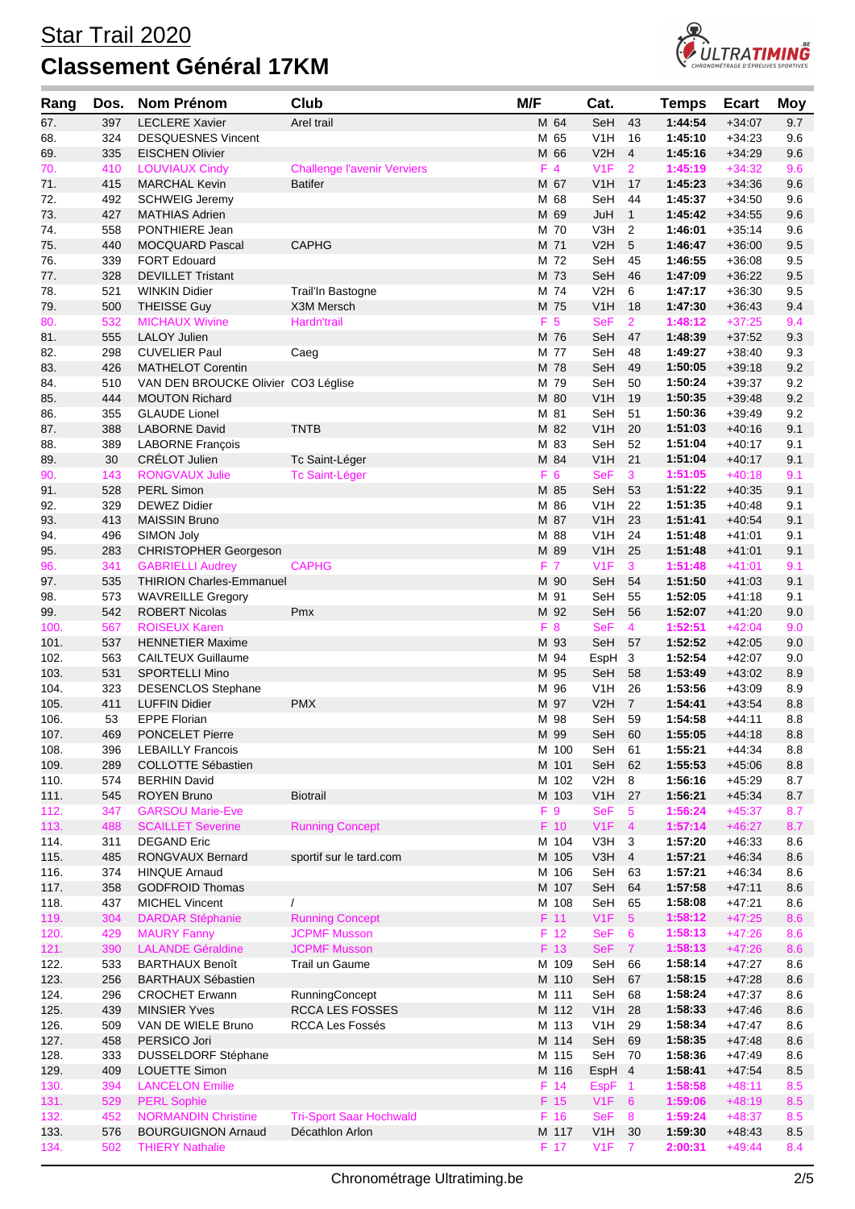

| Rang         | Dos.       | Nom Prénom                                         | Club                                  | M/F |                 | Cat.                           |                      | Temps              | <b>Ecart</b>         | Moy        |
|--------------|------------|----------------------------------------------------|---------------------------------------|-----|-----------------|--------------------------------|----------------------|--------------------|----------------------|------------|
| 67.          | 397        | <b>LECLERE Xavier</b>                              | Arel trail                            |     | M 64            | SeH                            | 43                   | 1:44:54            | $+34:07$             | 9.7        |
| 68.          | 324        | <b>DESQUESNES Vincent</b>                          |                                       |     | M 65            | V <sub>1</sub> H               | 16                   | 1:45:10            | $+34:23$             | 9.6        |
| 69.          | 335        | <b>EISCHEN Olivier</b>                             |                                       |     | M 66            | V2H                            | 4                    | 1:45:16            | $+34.29$             | 9.6        |
| 70.          | 410        | <b>LOUVIAUX Cindy</b>                              | <b>Challenge l'avenir Verviers</b>    |     | $F$ 4           | V1F                            | $\overline{2}$       | 1:45:19            | $+34:32$             | 9.6        |
| 71.          | 415        | <b>MARCHAL Kevin</b>                               | <b>Batifer</b>                        |     | M 67            | V1H                            | 17                   | 1:45:23            | $+34:36$             | 9.6        |
| 72.          | 492<br>427 | <b>SCHWEIG Jeremy</b><br>MATHIAS Adrien            |                                       |     | M 68<br>M 69    | SeH<br>JuH                     | 44<br>$\mathbf{1}$   | 1:45:37<br>1:45:42 | $+34:50$<br>$+34:55$ | 9.6<br>9.6 |
| 73.<br>74.   | 558        | PONTHIERE Jean                                     |                                       |     | M 70            | V3H                            | 2                    | 1:46:01            | $+35:14$             | 9.6        |
| 75.          | 440        | <b>MOCQUARD Pascal</b>                             | <b>CAPHG</b>                          |     | M 71            | V2H                            | 5                    | 1:46:47            | $+36:00$             | 9.5        |
| 76.          | 339        | <b>FORT Edouard</b>                                |                                       |     | M 72            | SeH                            | 45                   | 1:46:55            | $+36:08$             | 9.5        |
| 77.          | 328        | <b>DEVILLET Tristant</b>                           |                                       |     | M 73            | SeH                            | 46                   | 1:47:09            | $+36:22$             | 9.5        |
| 78.          | 521        | <b>WINKIN Didier</b>                               | Trail'In Bastogne                     |     | M 74            | V2H                            | 6                    | 1:47:17            | $+36:30$             | 9.5        |
| 79.          | 500        | <b>THEISSE Guy</b>                                 | X3M Mersch                            |     | M 75            | V1H                            | 18                   | 1:47:30            | $+36:43$             | 9.4        |
| 80.          | 532        | <b>MICHAUX Wivine</b>                              | Hardn'trail                           |     | F 5             | <b>SeF</b>                     | $\overline{2}$       | 1:48:12            | $+37:25$             | 9.4        |
| 81.          | 555        | <b>LALOY Julien</b>                                |                                       |     | M 76            | SeH                            | 47                   | 1:48:39            | $+37:52$             | 9.3        |
| 82.<br>83.   | 298<br>426 | <b>CUVELIER Paul</b><br><b>MATHELOT Corentin</b>   | Caeg                                  |     | M 77<br>M 78    | SeH<br>SeH                     | 48<br>49             | 1:49:27<br>1:50:05 | $+38:40$<br>$+39:18$ | 9.3<br>9.2 |
| 84.          | 510        | VAN DEN BROUCKE Olivier CO3 Léglise                |                                       |     | M 79            | SeH                            | 50                   | 1:50:24            | $+39:37$             | 9.2        |
| 85.          | 444        | <b>MOUTON Richard</b>                              |                                       |     | M 80            | V1H                            | 19                   | 1:50:35            | $+39:48$             | 9.2        |
| 86.          | 355        | <b>GLAUDE Lionel</b>                               |                                       |     | M 81            | SeH                            | 51                   | 1:50:36            | $+39.49$             | 9.2        |
| 87.          | 388        | <b>LABORNE David</b>                               | <b>TNTB</b>                           |     | M 82            | V <sub>1</sub> H               | 20                   | 1:51:03            | $+40:16$             | 9.1        |
| 88.          | 389        | <b>LABORNE François</b>                            |                                       |     | M 83            | SeH                            | 52                   | 1:51:04            | $+40:17$             | 9.1        |
| 89.          | 30         | CRÉLOT Julien                                      | Tc Saint-Léger                        |     | M 84            | V1H                            | 21                   | 1:51:04            | $+40:17$             | 9.1        |
| 90.          | 143        | <b>RONGVAUX Julie</b>                              | <b>Tc Saint-Léger</b>                 |     | F 6             | <b>SeF</b>                     | 3                    | 1:51:05            | $+40:18$             | 9.1        |
| 91.          | 528        | <b>PERL Simon</b>                                  |                                       |     | M 85            | SeH                            | 53                   | 1:51:22            | $+40.35$             | 9.1        |
| 92.<br>93.   | 329<br>413 | <b>DEWEZ Didier</b><br><b>MAISSIN Bruno</b>        |                                       |     | M 86<br>M 87    | V1H<br>V1H                     | 22<br>23             | 1:51:35<br>1:51:41 | $+40:48$<br>$+40:54$ | 9.1<br>9.1 |
| 94.          | 496        | SIMON Joly                                         |                                       |     | M 88            | V1H                            | 24                   | 1:51:48            | $+41:01$             | 9.1        |
| 95.          | 283        | <b>CHRISTOPHER Georgeson</b>                       |                                       |     | M 89            | V <sub>1</sub> H               | 25                   | 1:51:48            | $+41:01$             | 9.1        |
| 96.          | 341        | <b>GABRIELLI Audrey</b>                            | <b>CAPHG</b>                          |     | F 7             | V1F                            | 3                    | 1:51:48            | $+41:01$             | 9.1        |
| 97.          | 535        | <b>THIRION Charles-Emmanuel</b>                    |                                       |     | M 90            | SeH                            | 54                   | 1:51:50            | $+41:03$             | 9.1        |
| 98.          | 573        | <b>WAVREILLE Gregory</b>                           |                                       |     | M 91            | SeH                            | 55                   | 1:52:05            | $+41:18$             | 9.1        |
| 99.          | 542        | <b>ROBERT Nicolas</b>                              | Pmx                                   |     | M 92            | SeH                            | 56                   | 1:52:07            | $+41:20$             | 9.0        |
| 100.         | 567        | <b>ROISEUX Karen</b>                               |                                       |     | F 8             | <b>SeF</b>                     | 4                    | 1:52:51            | $+42:04$             | 9.0        |
| 101.         | 537        | <b>HENNETIER Maxime</b>                            |                                       |     | M 93            | SeH                            | 57                   | 1:52:52            | $+42:05$             | 9.0        |
| 102.<br>103. | 563<br>531 | <b>CAILTEUX Guillaume</b><br><b>SPORTELLI Mino</b> |                                       |     | M 94<br>M 95    | EspH<br>SeH                    | $\mathbf{3}$<br>58   | 1:52:54<br>1:53:49 | $+42:07$<br>$+43:02$ | 9.0<br>8.9 |
| 104.         | 323        | <b>DESENCLOS Stephane</b>                          |                                       |     | M 96            | V <sub>1</sub> H               | 26                   | 1:53:56            | $+43:09$             | 8.9        |
| 105.         | 411        | <b>LUFFIN Didier</b>                               | <b>PMX</b>                            |     | M 97            | V2H                            | $\overline{7}$       | 1:54:41            | $+43:54$             | 8.8        |
| 106.         | 53         | <b>EPPE Florian</b>                                |                                       |     | M 98            | SeH                            | 59                   | 1:54:58            | $+44:11$             | 8.8        |
| 107.         | 469        | <b>PONCELET Pierre</b>                             |                                       |     | M 99            | SeH 60                         |                      | 1:55:05            | $+44:18$             | $8.8\,$    |
| 108.         | 396        | <b>LEBAILLY Francois</b>                           |                                       |     | M 100           | SeH                            | 61                   | 1:55:21            | $+44:34$             | 8.8        |
| 109.         | 289        | COLLOTTE Sébastien                                 |                                       |     | M 101           | SeH                            | 62                   | 1:55:53            | $+45:06$             | $8.8\,$    |
| 110.         | 574        | <b>BERHIN David</b>                                |                                       |     | M 102           | V <sub>2</sub> H               | 8                    | 1:56:16            | $+45:29$             | 8.7        |
| 111.<br>112. | 545<br>347 | <b>ROYEN Bruno</b><br><b>GARSOU Marie-Eve</b>      | <b>Biotrail</b>                       |     | M 103<br>F 9    | V <sub>1</sub> H<br><b>SeF</b> | 27<br>5              | 1:56:21<br>1:56:24 | $+45:34$<br>$+45:37$ | 8.7<br>8.7 |
| 113.         | 488        | <b>SCAILLET Severine</b>                           | <b>Running Concept</b>                |     | $F$ 10          | V1F                            | $\overline{4}$       | 1:57:14            | $+46:27$             | 8.7        |
| 114.         | 311        | <b>DEGAND Eric</b>                                 |                                       |     | M 104           | V3H                            | 3                    | 1:57:20            | $+46:33$             | 8.6        |
| 115.         | 485        | RONGVAUX Bernard                                   | sportif sur le tard.com               |     | M 105           | V3H                            | $\overline{4}$       | 1:57:21            | $+46:34$             | 8.6        |
| 116.         | 374        | <b>HINQUE Arnaud</b>                               |                                       |     | M 106           | SeH                            | 63                   | 1:57:21            | $+46.34$             | 8.6        |
| 117.         | 358        | <b>GODFROID Thomas</b>                             |                                       |     | M 107           | SeH                            | 64                   | 1:57:58            | $+47.11$             | 8.6        |
| 118.         | 437        | <b>MICHEL Vincent</b>                              | $\prime$                              |     | M 108           | SeH                            | 65                   | 1:58:08            | $+47:21$             | 8.6        |
| 119.         | 304        | <b>DARDAR Stéphanie</b>                            | <b>Running Concept</b>                |     | F 11            | V1F                            | $5\overline{5}$      | 1:58:12            | $+47:25$             | 8.6        |
| 120.         | 429        | <b>MAURY Fanny</b>                                 | <b>JCPMF Musson</b>                   |     | F <sub>12</sub> | <b>SeF</b>                     | 6                    | 1:58:13            | $+47:26$             | 8.6        |
| 121.<br>122. | 390<br>533 | <b>LALANDE Géraldine</b><br><b>BARTHAUX Benoît</b> | <b>JCPMF Musson</b><br>Trail un Gaume |     | F 13<br>M 109   | <b>SeF</b><br>SeH              | $\overline{7}$<br>66 | 1:58:13<br>1:58:14 | $+47:26$<br>$+47:27$ | 8.6<br>8.6 |
| 123.         | 256        | <b>BARTHAUX Sébastien</b>                          |                                       |     | M 110           | SeH                            | 67                   | 1:58:15            | $+47:28$             | 8.6        |
| 124.         | 296        | <b>CROCHET Erwann</b>                              | RunningConcept                        |     | M 111           | SeH                            | 68                   | 1:58:24            | $+47:37$             | 8.6        |
| 125.         | 439        | <b>MINSIER Yves</b>                                | <b>RCCA LES FOSSES</b>                |     | M 112           | V <sub>1</sub> H               | 28                   | 1:58:33            | $+47:46$             | 8.6        |
| 126.         | 509        | VAN DE WIELE Bruno                                 | <b>RCCA Les Fossés</b>                |     | M 113           | V <sub>1</sub> H               | 29                   | 1:58:34            | $+47:47$             | 8.6        |
| 127.         | 458        | PERSICO Jori                                       |                                       |     | M 114           | SeH                            | 69                   | 1:58:35            | $+47:48$             | 8.6        |
| 128.         | 333        | DUSSELDORF Stéphane                                |                                       |     | M 115           | SeH                            | 70                   | 1:58:36            | $+47:49$             | 8.6        |
| 129.         | 409        | LOUETTE Simon                                      |                                       |     | M 116           | EspH 4                         |                      | 1:58:41            | $+47:54$             | 8.5        |
| 130.         | 394        | <b>LANCELON Emilie</b>                             |                                       |     | F 14            | <b>EspF</b>                    | $\overline{1}$       | 1:58:58            | $+48:11$             | 8.5        |
| 131.<br>132. | 529<br>452 | <b>PERL Sophie</b><br><b>NORMANDIN Christine</b>   | <b>Tri-Sport Saar Hochwald</b>        |     | F 15<br>F 16    | V1F<br><b>SeF</b>              | 6<br>8               | 1:59:06<br>1:59:24 | $+48:19$<br>$+48:37$ | 8.5<br>8.5 |
| 133.         | 576        | <b>BOURGUIGNON Arnaud</b>                          | Décathlon Arlon                       |     | M 117           | V1H                            | 30                   | 1:59:30            | $+48:43$             | 8.5        |
| 134.         | 502        | <b>THIERY Nathalie</b>                             |                                       |     | F 17            | V <sub>1</sub> F               | $\overline{7}$       | 2:00:31            | $+49:44$             | 8.4        |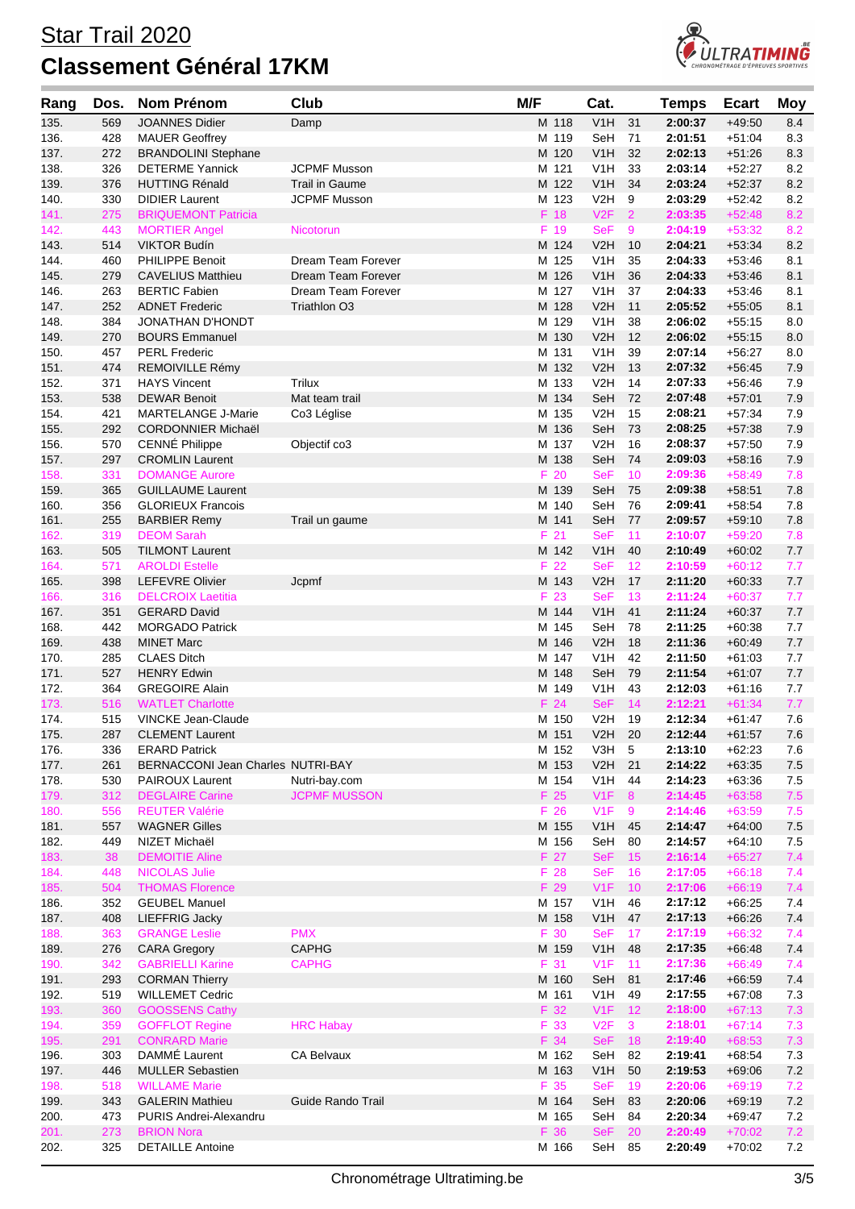

| Rang         | Dos.       | Nom Prénom                                                | <b>Club</b>                        | M/F |                          | Cat.                    |                | Temps              | <b>Ecart</b>         | <b>Moy</b>   |
|--------------|------------|-----------------------------------------------------------|------------------------------------|-----|--------------------------|-------------------------|----------------|--------------------|----------------------|--------------|
| 135.         | 569        | <b>JOANNES Didier</b>                                     | Damp                               |     | M 118                    | V1H                     | 31             | 2:00:37            | $+49:50$             | 8.4          |
| 136.         | 428        | <b>MAUER Geoffrey</b>                                     |                                    |     | M 119                    | SeH                     | 71             | 2:01:51            | $+51:04$             | 8.3          |
| 137.         | 272        | <b>BRANDOLINI Stephane</b>                                |                                    |     | M 120                    | V <sub>1</sub> H        | 32             | 2:02:13            | $+51:26$             | 8.3          |
| 138.         | 326        | <b>DETERME Yannick</b>                                    | <b>JCPMF Musson</b>                |     | M 121                    | V1H                     | 33             | 2:03:14            | $+52:27$             | 8.2          |
| 139.         | 376        | <b>HUTTING Rénald</b>                                     | Trail in Gaume                     |     | M 122                    | V1H                     | 34             | 2:03:24            | $+52:37$             | 8.2          |
| 140.         | 330        | <b>DIDIER Laurent</b>                                     | <b>JCPMF Musson</b>                |     | M 123                    | V <sub>2</sub> H        | 9              | 2:03:29            | $+52.42$             | 8.2          |
| 141.         | 275        | <b>BRIQUEMONT Patricia</b>                                |                                    |     | F 18                     | V2F                     | $\overline{2}$ | 2:03:35            | $+52:48$             | 8.2          |
| 142.         | 443        | <b>MORTIER Angel</b>                                      | Nicotorun                          |     | F 19                     | <b>SeF</b>              | 9              | 2:04:19            | $+53:32$             | 8.2          |
| 143.         | 514        | <b>VIKTOR Budín</b>                                       |                                    |     | M 124                    | V2H                     | 10             | 2:04:21            | $+53.34$             | 8.2          |
| 144.         | 460        | PHILIPPE Benoit                                           | Dream Team Forever                 |     | M 125                    | V1H                     | 35             | 2:04:33            | $+53:46$             | 8.1          |
| 145.         | 279        | <b>CAVELIUS Matthieu</b>                                  | Dream Team Forever                 |     | M 126                    | V <sub>1</sub> H        | 36             | 2:04:33            | $+53.46$             | 8.1          |
| 146.<br>147. | 263<br>252 | <b>BERTIC Fabien</b><br><b>ADNET Frederic</b>             | Dream Team Forever<br>Triathlon O3 |     | M 127<br>M 128           | V1H<br>V2H              | 37<br>11       | 2:04:33<br>2:05:52 | $+53:46$<br>$+55:05$ | 8.1<br>8.1   |
| 148.         | 384        | JONATHAN D'HONDT                                          |                                    |     | M 129                    | V1H                     | 38             | 2:06:02            | $+55:15$             | 8.0          |
| 149.         | 270        | <b>BOURS Emmanuel</b>                                     |                                    |     | M 130                    | V2H                     | 12             | 2:06:02            | $+55:15$             | 8.0          |
| 150.         | 457        | <b>PERL Frederic</b>                                      |                                    |     | M 131                    | V <sub>1</sub> H        | 39             | 2:07:14            | $+56.27$             | 8.0          |
| 151.         | 474        | REMOIVILLE Rémy                                           |                                    |     | M 132                    | V2H                     | 13             | 2:07:32            | $+56.45$             | 7.9          |
| 152.         | 371        | <b>HAYS Vincent</b>                                       | Trilux                             |     | M 133                    | V <sub>2</sub> H        | 14             | 2:07:33            | $+56:46$             | 7.9          |
| 153.         | 538        | <b>DEWAR Benoit</b>                                       | Mat team trail                     |     | M 134                    | SeH                     | 72             | 2:07:48            | $+57:01$             | 7.9          |
| 154.         | 421        | <b>MARTELANGE J-Marie</b>                                 | Co3 Léglise                        |     | M 135                    | V <sub>2</sub> H        | 15             | 2:08:21            | $+57:34$             | 7.9          |
| 155.         | 292        | <b>CORDONNIER Michaël</b>                                 |                                    |     | M 136                    | SeH                     | 73             | 2:08:25            | $+57:38$             | 7.9          |
| 156.         | 570        | CENNÉ Philippe                                            | Objectif co3                       |     | M 137                    | V <sub>2</sub> H        | 16             | 2:08:37            | $+57:50$             | 7.9          |
| 157.         | 297        | <b>CROMLIN Laurent</b>                                    |                                    |     | M 138                    | SeH                     | 74             | 2:09:03            | $+58:16$             | 7.9          |
| 158.         | 331        | <b>DOMANGE Aurore</b>                                     |                                    |     | F 20                     | SeF                     | 10             | 2:09:36            | $+58:49$             | 7.8          |
| 159.         | 365        | <b>GUILLAUME Laurent</b>                                  |                                    |     | M 139                    | SeH                     | 75             | 2:09:38            | $+58:51$             | 7.8          |
| 160.         | 356        | <b>GLORIEUX Francois</b>                                  |                                    |     | M 140                    | SeH                     | 76<br>77       | 2:09:41            | $+58:54$             | 7.8          |
| 161.<br>162. | 255<br>319 | <b>BARBIER Remy</b><br><b>DEOM Sarah</b>                  | Trail un gaume                     |     | M 141<br>F <sub>21</sub> | SeH<br><b>SeF</b>       | 11             | 2:09:57<br>2:10:07 | $+59:10$<br>$+59:20$ | 7.8<br>7.8   |
| 163.         | 505        | <b>TILMONT Laurent</b>                                    |                                    |     | M 142                    | V1H                     | 40             | 2:10:49            | $+60:02$             | 7.7          |
| 164.         | 571        | <b>AROLDI Estelle</b>                                     |                                    |     | F 22                     | <b>SeF</b>              | 12             | 2:10:59            | $+60:12$             | 7.7          |
| 165.         | 398        | <b>LEFEVRE Olivier</b>                                    | Jcpmf                              |     | M 143                    | V2H                     | 17             | 2:11:20            | $+60:33$             | 7.7          |
| 166.         | 316        | <b>DELCROIX Laetitia</b>                                  |                                    |     | F 23                     | <b>SeF</b>              | 13             | 2:11:24            | $+60:37$             | 7.7          |
| 167.         | 351        | <b>GERARD David</b>                                       |                                    |     | M 144                    | V1H                     | 41             | 2:11:24            | $+60:37$             | 7.7          |
| 168.         | 442        | <b>MORGADO Patrick</b>                                    |                                    |     | M 145                    | SeH                     | 78             | 2:11:25            | $+60:38$             | 7.7          |
| 169.         | 438        | <b>MINET Marc</b>                                         |                                    |     | M 146                    | V2H                     | 18             | 2:11:36            | $+60.49$             | 7.7          |
| 170.         | 285        | <b>CLAES Ditch</b>                                        |                                    |     | M 147                    | V1H                     | 42             | 2:11:50            | $+61:03$             | 7.7          |
| 171.         | 527        | <b>HENRY Edwin</b>                                        |                                    |     | M 148                    | SeH                     | 79             | 2:11:54            | $+61:07$             | 7.7          |
| 172.         | 364        | <b>GREGOIRE Alain</b>                                     |                                    |     | M 149                    | V1H                     | 43             | 2:12:03            | $+61:16$             | 7.7          |
| 173.         | 516        | <b>WATLET Charlotte</b>                                   |                                    |     | F 24                     | <b>SeF</b>              | 14             | 2:12:21            | $+61:34$             | 7.7          |
| 174.         | 515        | <b>VINCKE Jean-Claude</b>                                 |                                    |     | M 150                    | V2H                     | 19             | 2:12:34            | $+61:47$             | 7.6          |
| 175.         | 287        | <b>CLEMENT Laurent</b>                                    |                                    |     | M 151<br>M 152           | V2H                     | 20<br>5        | 2:12:44<br>2:13:10 | $+61:57$<br>$+62:23$ | 7.6          |
| 176.<br>177. | 336<br>261 | <b>ERARD Patrick</b><br>BERNACCONI Jean Charles NUTRI-BAY |                                    |     | M 153                    | V3H<br>V2H              | 21             | 2:14:22            | $+63:35$             | 7.6<br>$7.5$ |
| 178.         | 530        | PAIROUX Laurent                                           | Nutri-bay.com                      |     | M 154                    | V <sub>1</sub> H        | 44             | 2:14:23            | $+63:36$             | 7.5          |
| 179.         | 312        | <b>DEGLAIRE Carine</b>                                    | <b>JCPMF MUSSON</b>                |     | F 25                     | V1F                     | $\bf 8$        | 2:14:45            | $+63:58$             | $7.5$        |
| 180.         | 556        | <b>REUTER Valérie</b>                                     |                                    |     | F 26                     | V1F                     | 9              | 2:14:46            | $+63:59$             | 7.5          |
| 181.         | 557        | <b>WAGNER Gilles</b>                                      |                                    |     | M 155                    | V1H                     | 45             | 2:14:47            | $+64:00$             | 7.5          |
| 182.         | 449        | NIZET Michaël                                             |                                    |     | M 156                    | SeH                     | 80             | 2:14:57            | $+64:10$             | 7.5          |
| 183.         | 38         | <b>DEMOITIE Aline</b>                                     |                                    |     | F 27                     | <b>SeF</b>              | 15             | 2:16:14            | $+65:27$             | 7.4          |
| 184.         | 448        | <b>NICOLAS Julie</b>                                      |                                    |     | F 28                     | <b>SeF</b>              | 16             | 2:17:05            | $+66:18$             | 7.4          |
| 185.         | 504        | <b>THOMAS Florence</b>                                    |                                    |     | F 29                     | V1F                     | 10             | 2:17:06            | $+66:19$             | 7.4          |
| 186.         | 352        | <b>GEUBEL Manuel</b>                                      |                                    |     | M 157                    | V <sub>1</sub> H        | 46             | 2:17:12            | $+66:25$             | 7.4          |
| 187.         | 408        | LIEFFRIG Jacky                                            |                                    |     | M 158                    | V1H                     | 47             | 2:17:13            | $+66:26$             | 7.4          |
| 188.         | 363        | <b>GRANGE Leslie</b>                                      | <b>PMX</b>                         |     | F 30                     | <b>SeF</b>              | 17             | 2:17:19            | $+66:32$             | 7.4          |
| 189.         | 276<br>342 | <b>CARA Gregory</b><br><b>GABRIELLI Karine</b>            | <b>CAPHG</b><br><b>CAPHG</b>       |     | M 159<br>F 31            | V <sub>1</sub> H<br>V1F | 48<br>11       | 2:17:35<br>2:17:36 | $+66:48$<br>$+66:49$ | 7.4<br>7.4   |
| 190.<br>191. | 293        | <b>CORMAN Thierry</b>                                     |                                    |     | M 160                    | SeH                     | 81             | 2:17:46            | $+66:59$             | 7.4          |
| 192.         | 519        | <b>WILLEMET Cedric</b>                                    |                                    |     | M 161                    | V <sub>1</sub> H        | 49             | 2:17:55            | $+67:08$             | 7.3          |
| 193.         | 360        | <b>GOOSSENS Cathy</b>                                     |                                    |     | F 32                     | V1F                     | 12             | 2:18:00            | $+67:13$             | 7.3          |
| 194.         | 359        | <b>GOFFLOT Regine</b>                                     | <b>HRC Habay</b>                   |     | F 33                     | V2F                     | $\mathbf{3}$   | 2:18:01            | $+67:14$             | 7.3          |
| 195.         | 291        | <b>CONRARD Marie</b>                                      |                                    |     | F 34                     | <b>SeF</b>              | 18             | 2:19:40            | $+68:53$             | 7.3          |
| 196.         | 303        | DAMMÉ Laurent                                             | CA Belvaux                         |     | M 162                    | SeH                     | 82             | 2:19:41            | $+68:54$             | 7.3          |
| 197.         | 446        | <b>MULLER Sebastien</b>                                   |                                    |     | M 163                    | V <sub>1</sub> H        | 50             | 2:19:53            | $+69:06$             | 7.2          |
| 198.         | 518        | <b>WILLAME Marie</b>                                      |                                    |     | F 35                     | <b>SeF</b>              | 19             | 2:20:06            | $+69:19$             | 7.2          |
| 199.         | 343        | <b>GALERIN Mathieu</b>                                    | Guide Rando Trail                  |     | M 164                    | SeH                     | 83             | 2:20:06            | $+69:19$             | $7.2$        |
| 200.         | 473        | PURIS Andrei-Alexandru                                    |                                    |     | M 165                    | SeH                     | 84             | 2:20:34            | $+69:47$             | 7.2          |
| 201.         | 273        | <b>BRION Nora</b>                                         |                                    |     | F 36                     | <b>SeF</b>              | 20             | 2:20:49            | $+70:02$             | 7.2          |
| 202.         | 325        | <b>DETAILLE Antoine</b>                                   |                                    |     | M 166                    | SeH                     | 85             | 2:20:49            | $+70:02$             | 7.2          |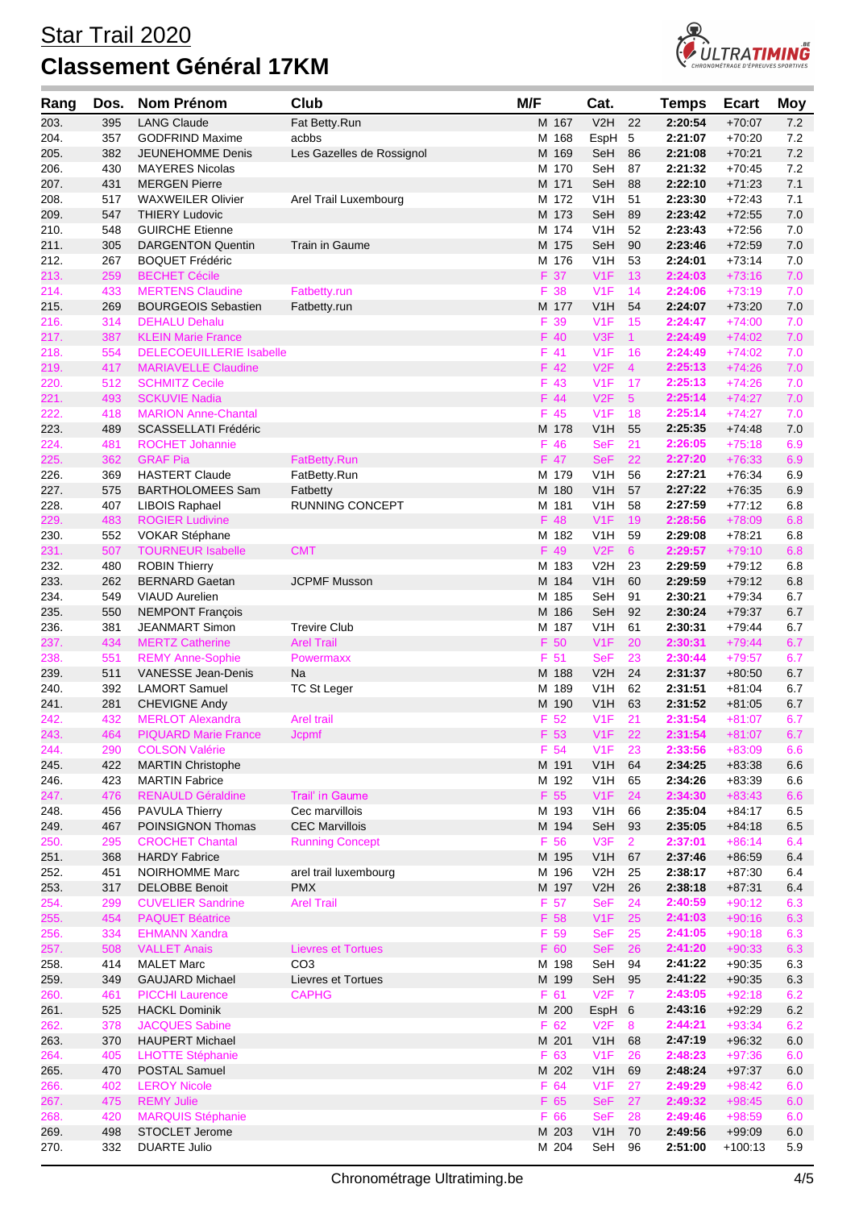

| Rang         | Dos.       | <b>Nom Prénom</b>                                   | Club                      | M/F |              | Cat.              |                      | <b>Temps</b>       | <b>Ecart</b>         | <b>Moy</b> |
|--------------|------------|-----------------------------------------------------|---------------------------|-----|--------------|-------------------|----------------------|--------------------|----------------------|------------|
| 203.         | 395        | <b>LANG Claude</b>                                  | Fat Betty.Run             |     | M 167        | V2H               | 22                   | 2:20:54            | $+70:07$             | 7.2        |
| 204.         | 357        | <b>GODFRIND Maxime</b>                              | acbbs                     |     | M 168        | EspH 5            |                      | 2:21:07            | $+70:20$             | 7.2        |
| 205.         | 382        | JEUNEHOMME Denis                                    | Les Gazelles de Rossignol |     | M 169        | SeH               | 86                   | 2:21:08            | $+70.21$             | 7.2        |
| 206.         | 430        | <b>MAYERES Nicolas</b>                              |                           |     | M 170        | SeH               | 87                   | 2:21:32            | $+70:45$             | 7.2        |
| 207.         | 431        | <b>MERGEN Pierre</b>                                |                           |     | M 171        | SeH               | 88                   | 2:22:10            | $+71:23$             | 7.1        |
| 208.         | 517        | <b>WAXWEILER Olivier</b>                            | Arel Trail Luxembourg     |     | M 172        | V1H               | 51                   | 2:23:30            | $+72.43$             | 7.1        |
| 209.         | 547        | <b>THIERY Ludovic</b>                               |                           |     | M 173        | SeH               | 89                   | 2:23:42            | $+72:55$             | 7.0        |
| 210.         | 548        | <b>GUIRCHE Etienne</b>                              |                           |     | M 174        | V1H               | 52                   | 2:23:43            | $+72:56$             | 7.0        |
| 211.         | 305        | <b>DARGENTON Quentin</b>                            | Train in Gaume            |     | M 175        | SeH               | 90                   | 2:23:46            | $+72:59$             | 7.0        |
| 212.         | 267        | <b>BOQUET Frédéric</b>                              |                           |     | M 176        | V1H               | 53                   | 2:24:01            | $+73:14$             | 7.0        |
| 213.         | 259        | <b>BECHET Cécile</b>                                |                           |     | F 37         | V1F               | 13                   | 2:24:03            | $+73:16$             | 7.0        |
| 214.         | 433        | <b>MERTENS Claudine</b>                             | Fatbetty.run              |     | F 38         | V1F               | 14                   | 2:24:06            | $+73:19$             | 7.0        |
| 215.         | 269        | <b>BOURGEOIS Sebastien</b>                          | Fatbetty.run              |     | M 177        | V1H               | 54                   | 2:24:07            | $+73:20$             | 7.0        |
| 216.         | 314        | <b>DEHALU Dehalu</b>                                |                           |     | F 39         | V1F               | 15                   | 2:24:47            | $+74:00$             | 7.0        |
| 217.         | 387        | <b>KLEIN Marie France</b>                           |                           |     | F 40         | V3F               | $\overline{1}$       | 2:24:49            | $+74:02$             | 7.0        |
| 218.         | 554        | <b>DELECOEUILLERIE Isabelle</b>                     |                           |     | F 41         | V1F               | 16                   | 2:24:49            | $+74:02$             | 7.0        |
| 219.         | 417        | <b>MARIAVELLE Claudine</b><br><b>SCHMITZ Cecile</b> |                           |     | F 42<br>F 43 | V2F               | $\overline{4}$       | 2:25:13            | $+74:26$             | 7.0        |
| 220.<br>221. | 512<br>493 | <b>SCKUVIE Nadia</b>                                |                           |     | F 44         | V1F<br>V2F        | 17<br>5 <sup>5</sup> | 2:25:13<br>2:25:14 | $+74:26$<br>$+74:27$ | 7.0        |
| 222.         | 418        | <b>MARION Anne-Chantal</b>                          |                           |     | F 45         | V1F               | 18                   | 2:25:14            | $+74:27$             | 7.0<br>7.0 |
| 223.         | 489        | SCASSELLATI Frédéric                                |                           |     | M 178        | V1H               | 55                   | 2:25:35            | $+74.48$             | 7.0        |
| 224.         | 481        | <b>ROCHET Johannie</b>                              |                           |     | F 46         | <b>SeF</b>        | 21                   | 2:26:05            | $+75:18$             | 6.9        |
| 225.         | 362        | <b>GRAF Pia</b>                                     | FatBetty.Run              |     | F 47         | <b>SeF</b>        | 22                   | 2:27:20            | $+76:33$             | 6.9        |
| 226.         | 369        | <b>HASTERT Claude</b>                               | FatBetty.Run              |     | M 179        | V1H               | 56                   | 2:27:21            | $+76:34$             | 6.9        |
| 227.         | 575        | <b>BARTHOLOMEES Sam</b>                             | Fatbetty                  |     | M 180        | V1H               | 57                   | 2:27:22            | $+76:35$             | 6.9        |
| 228.         | 407        | LIBOIS Raphael                                      | <b>RUNNING CONCEPT</b>    |     | M 181        | V <sub>1</sub> H  | 58                   | 2:27:59            | $+77:12$             | 6.8        |
| 229.         | 483        | <b>ROGIER Ludivine</b>                              |                           |     | F 48         | V1F               | 19                   | 2:28:56            | $+78:09$             | 6.8        |
| 230.         | 552        | <b>VOKAR Stéphane</b>                               |                           |     | M 182        | V <sub>1</sub> H  | 59                   | 2:29:08            | $+78.21$             | 6.8        |
| 231.         | 507        | <b>TOURNEUR Isabelle</b>                            | <b>CMT</b>                |     | F 49         | V2F               | $6^{\circ}$          | 2:29:57            | $+79:10$             | 6.8        |
| 232.         | 480        | <b>ROBIN Thierry</b>                                |                           |     | M 183        | V <sub>2</sub> H  | 23                   | 2:29:59            | $+79:12$             | 6.8        |
| 233.         | 262        | <b>BERNARD Gaetan</b>                               | <b>JCPMF Musson</b>       |     | M 184        | V <sub>1</sub> H  | 60                   | 2:29:59            | $+79.12$             | 6.8        |
| 234.         | 549        | <b>VIAUD Aurelien</b>                               |                           |     | M 185        | SeH               | 91                   | 2:30:21            | $+79:34$             | 6.7        |
| 235.         | 550        | <b>NEMPONT François</b>                             |                           |     | M 186        | SeH               | 92                   | 2:30:24            | $+79.37$             | 6.7        |
| 236.         | 381        | <b>JEANMART Simon</b>                               | <b>Trevire Club</b>       |     | M 187        | V1H               | 61                   | 2:30:31            | $+79:44$             | 6.7        |
| 237.         | 434        | <b>MERTZ Catherine</b>                              | <b>Arel Trail</b>         |     | F 50         | V1F               | 20                   | 2:30:31            | $+79:44$             | 6.7        |
| 238.         | 551        | <b>REMY Anne-Sophie</b>                             | Powermaxx                 |     | F 51         | <b>SeF</b>        | 23                   | 2:30:44            | $+79:57$             | 6.7        |
| 239.         | 511        | VANESSE Jean-Denis                                  | Na                        |     | M 188        | V2H               | 24                   | 2:31:37            | $+80:50$             | 6.7        |
| 240.         | 392        | <b>LAMORT Samuel</b>                                | <b>TC St Leger</b>        |     | M 189        | V1H               | 62                   | 2:31:51            | $+81:04$             | 6.7        |
| 241.         | 281        | <b>CHEVIGNE Andy</b>                                |                           |     | M 190        | V1H               | 63                   | 2:31:52            | $+81:05$             | 6.7        |
| 242.         | 432        | <b>MERLOT Alexandra</b>                             | <b>Arel trail</b>         |     | F 52         | V <sub>1</sub> F  | 21                   | 2:31:54            | $+81:07$             | 6.7        |
| 243.         | 464        | <b>PIQUARD Marie France</b>                         | <b>Jcpmf</b>              |     | F 53         | V1F 22            |                      | 2:31:54            | $+81:07$             | 6.7        |
| 244.         | 290        | <b>COLSON Valérie</b>                               |                           |     | F 54         | V1F               | 23                   | 2:33:56            | $+83:09$             | 6.6        |
| 245.         | 422        | <b>MARTIN Christophe</b>                            |                           |     | M 191        | V <sub>1</sub> H  | 64                   | 2:34:25            | $+83:38$             | 6.6        |
| 246.         | 423        | <b>MARTIN Fabrice</b>                               |                           |     | M 192        | V <sub>1</sub> H  | 65                   | 2:34:26            | $+83:39$             | 6.6        |
| 247.         | 476        | <b>RENAULD Géraldine</b>                            | Trail' in Gaume           |     | F 55         | V1F               | 24                   | 2:34:30            | $+83:43$             | 6.6        |
| 248.         | 456        | PAVULA Thierry                                      | Cec marvillois            |     | M 193        | V <sub>1</sub> H  | 66                   | 2:35:04            | $+84:17$             | 6.5        |
| 249.         | 467        | POINSIGNON Thomas                                   | <b>CEC Marvillois</b>     |     | M 194        | SeH               | 93                   | 2:35:05            | $+84:18$             | 6.5        |
| 250.         | 295        | <b>CROCHET Chantal</b>                              | <b>Running Concept</b>    |     | F 56         | V3F               | $\overline{2}$       | 2:37:01            | $+86:14$             | 6.4        |
| 251.         | 368        | <b>HARDY Fabrice</b>                                |                           |     | M 195        | V <sub>1</sub> H  | 67                   | 2:37:46            | $+86:59$             | 6.4        |
| 252.         | 451        | NOIRHOMME Marc                                      | arel trail luxembourg     |     | M 196        | V <sub>2</sub> H  | 25                   | 2:38:17            | $+87:30$             | 6.4        |
| 253.         | 317        | <b>DELOBBE Benoit</b>                               | <b>PMX</b>                |     | M 197        | V2H               | 26                   | 2:38:18            | $+87:31$             | 6.4        |
| 254.         | 299        | <b>CUVELIER Sandrine</b>                            | <b>Arel Trail</b>         |     | F 57<br>F 58 | <b>SeF</b>        | 24<br>25             | 2:40:59<br>2:41:03 | $+90:12$             | 6.3        |
| 255.         | 454        | <b>PAQUET Béatrice</b><br><b>EHMANN Xandra</b>      |                           |     | F 59         | V1F<br><b>SeF</b> | 25                   | 2:41:05            | $+90:16$<br>$+90:18$ | 6.3        |
| 256.<br>257. | 334<br>508 | <b>VALLET Anais</b>                                 | <b>Lievres et Tortues</b> |     | F 60         | <b>SeF</b>        | 26                   | 2:41:20            | $+90:33$             | 6.3<br>6.3 |
| 258.         | 414        | <b>MALET Marc</b>                                   | CO <sub>3</sub>           |     | M 198        | SeH               | 94                   | 2:41:22            | $+90:35$             | 6.3        |
| 259.         | 349        | <b>GAUJARD Michael</b>                              | Lievres et Tortues        |     | M 199        | SeH               | 95                   | 2:41:22            | $+90:35$             | 6.3        |
| 260.         | 461        | <b>PICCHI Laurence</b>                              | <b>CAPHG</b>              |     | F 61         | V2F               | $\overline{7}$       | 2:43:05            | $+92:18$             | 6.2        |
| 261.         | 525        | <b>HACKL Dominik</b>                                |                           |     | M 200        | EspH 6            |                      | 2:43:16            | $+92:29$             | $6.2\,$    |
| 262.         | 378        | <b>JACQUES Sabine</b>                               |                           |     | F 62         | V2F               | 8                    | 2:44:21            | $+93:34$             | 6.2        |
| 263.         | 370        | <b>HAUPERT Michael</b>                              |                           |     | M 201        | V <sub>1</sub> H  | 68                   | 2:47:19            | $+96:32$             | 6.0        |
| 264.         | 405        | <b>LHOTTE Stéphanie</b>                             |                           |     | F 63         | V1F               | 26                   | 2:48:23            | $+97:36$             | 6.0        |
| 265.         | 470        | POSTAL Samuel                                       |                           |     | M 202        | V1H               | 69                   | 2:48:24            | $+97:37$             | 6.0        |
| 266.         | 402        | <b>LEROY Nicole</b>                                 |                           |     | F 64         | V1F               | 27                   | 2:49:29            | $+98:42$             | 6.0        |
| 267.         | 475        | <b>REMY Julie</b>                                   |                           |     | F 65         | <b>SeF</b>        | 27                   | 2:49:32            | $+98:45$             | 6.0        |
| 268.         | 420        | <b>MARQUIS Stéphanie</b>                            |                           |     | F 66         | <b>SeF</b>        | 28                   | 2:49:46            | $+98:59$             | 6.0        |
| 269.         | 498        | STOCLET Jerome                                      |                           |     | M 203        | V1H               | 70                   | 2:49:56            | $+99:09$             | 6.0        |
| 270.         | 332        | <b>DUARTE Julio</b>                                 |                           |     | M 204        | SeH               | 96                   | 2:51:00            | $+100:13$            | 5.9        |